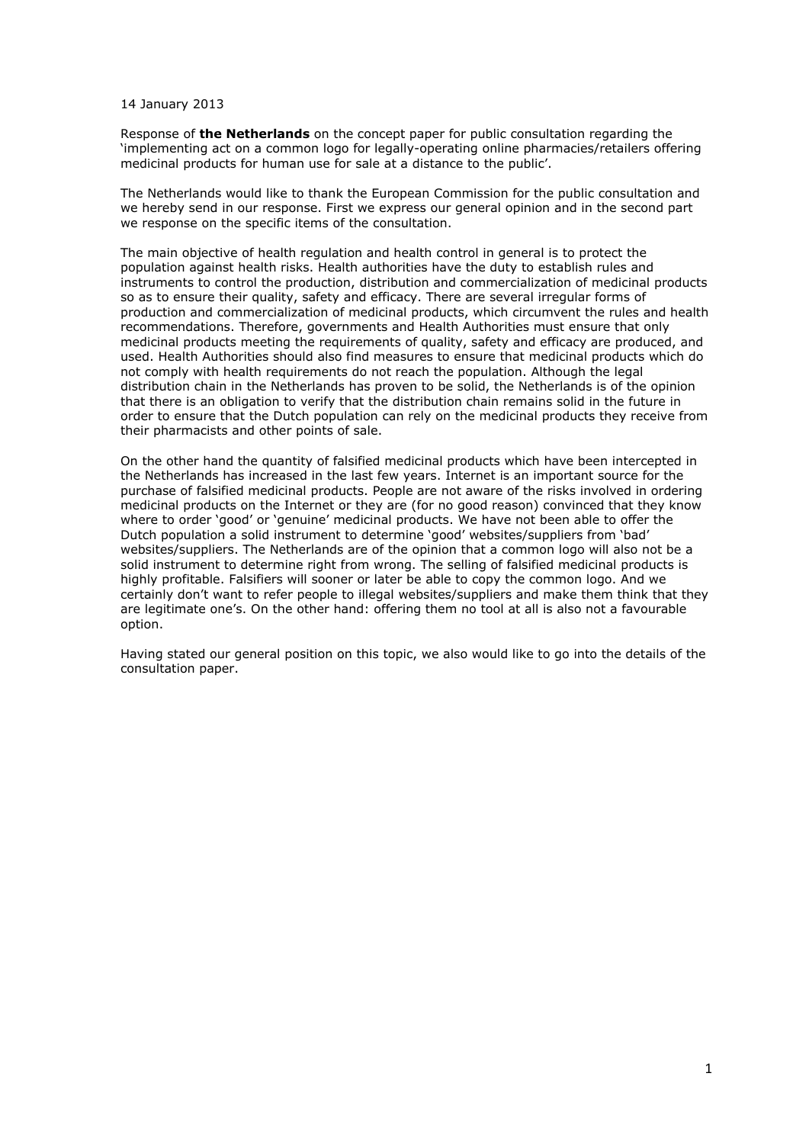14 January 2013

Response of **the Netherlands** on the concept paper for public consultation regarding the 'implementing act on a common logo for legally-operating online pharmacies/retailers offering medicinal products for human use for sale at a distance to the public'.

The Netherlands would like to thank the European Commission for the public consultation and we hereby send in our response. First we express our general opinion and in the second part we response on the specific items of the consultation.

The main objective of health regulation and health control in general is to protect the population against health risks. Health authorities have the duty to establish rules and instruments to control the production, distribution and commercialization of medicinal products so as to ensure their quality, safety and efficacy. There are several irregular forms of production and commercialization of medicinal products, which circumvent the rules and health recommendations. Therefore, governments and Health Authorities must ensure that only medicinal products meeting the requirements of quality, safety and efficacy are produced, and used. Health Authorities should also find measures to ensure that medicinal products which do not comply with health requirements do not reach the population. Although the legal distribution chain in the Netherlands has proven to be solid, the Netherlands is of the opinion that there is an obligation to verify that the distribution chain remains solid in the future in order to ensure that the Dutch population can rely on the medicinal products they receive from their pharmacists and other points of sale.

On the other hand the quantity of falsified medicinal products which have been intercepted in the Netherlands has increased in the last few years. Internet is an important source for the purchase of falsified medicinal products. People are not aware of the risks involved in ordering medicinal products on the Internet or they are (for no good reason) convinced that they know where to order 'good' or 'genuine' medicinal products. We have not been able to offer the Dutch population a solid instrument to determine 'good' websites/suppliers from 'bad' websites/suppliers. The Netherlands are of the opinion that a common logo will also not be a solid instrument to determine right from wrong. The selling of falsified medicinal products is highly profitable. Falsifiers will sooner or later be able to copy the common logo. And we certainly don't want to refer people to illegal websites/suppliers and make them think that they are legitimate one's. On the other hand: offering them no tool at all is also not a favourable option.

Having stated our general position on this topic, we also would like to go into the details of the consultation paper.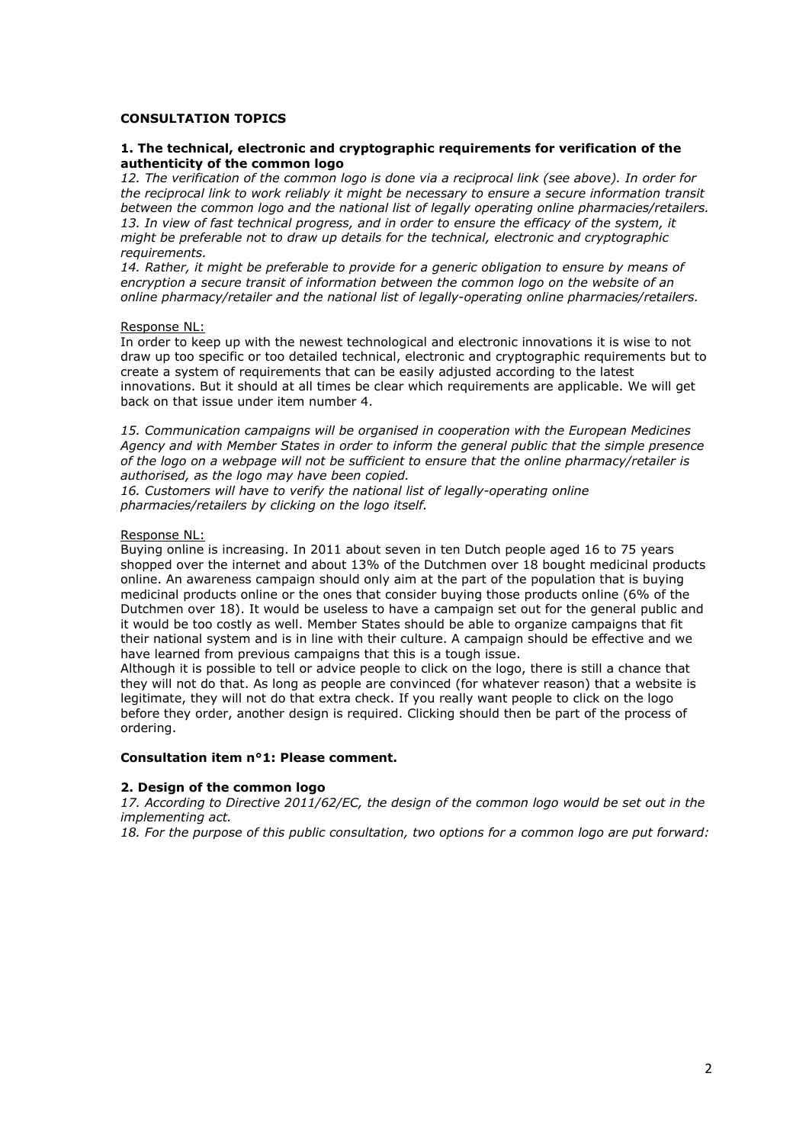## **CONSULTATION TOPICS**

### **1. The technical, electronic and cryptographic requirements for verification of the authenticity of the common logo**

*12. The verification of the common logo is done via a reciprocal link (see above). In order for the reciprocal link to work reliably it might be necessary to ensure a secure information transit between the common logo and the national list of legally operating online pharmacies/retailers. 13. In view of fast technical progress, and in order to ensure the efficacy of the system, it might be preferable not to draw up details for the technical, electronic and cryptographic requirements.* 

*14. Rather, it might be preferable to provide for a generic obligation to ensure by means of encryption a secure transit of information between the common logo on the website of an online pharmacy/retailer and the national list of legally-operating online pharmacies/retailers.* 

### Response NL:

In order to keep up with the newest technological and electronic innovations it is wise to not draw up too specific or too detailed technical, electronic and cryptographic requirements but to create a system of requirements that can be easily adjusted according to the latest innovations. But it should at all times be clear which requirements are applicable. We will get back on that issue under item number 4.

*15. Communication campaigns will be organised in cooperation with the European Medicines Agency and with Member States in order to inform the general public that the simple presence of the logo on a webpage will not be sufficient to ensure that the online pharmacy/retailer is authorised, as the logo may have been copied.* 

*16. Customers will have to verify the national list of legally-operating online pharmacies/retailers by clicking on the logo itself.* 

### Response NL:

Buying online is increasing. In 2011 about seven in ten Dutch people aged 16 to 75 years shopped over the internet and about 13% of the Dutchmen over 18 bought medicinal products online. An awareness campaign should only aim at the part of the population that is buying medicinal products online or the ones that consider buying those products online (6% of the Dutchmen over 18). It would be useless to have a campaign set out for the general public and it would be too costly as well. Member States should be able to organize campaigns that fit their national system and is in line with their culture. A campaign should be effective and we have learned from previous campaigns that this is a tough issue.

Although it is possible to tell or advice people to click on the logo, there is still a chance that they will not do that. As long as people are convinced (for whatever reason) that a website is legitimate, they will not do that extra check. If you really want people to click on the logo before they order, another design is required. Clicking should then be part of the process of ordering.

# **Consultation item n°1: Please comment.**

# **2. Design of the common logo**

*17. According to Directive 2011/62/EC, the design of the common logo would be set out in the implementing act.* 

*18. For the purpose of this public consultation, two options for a common logo are put forward:*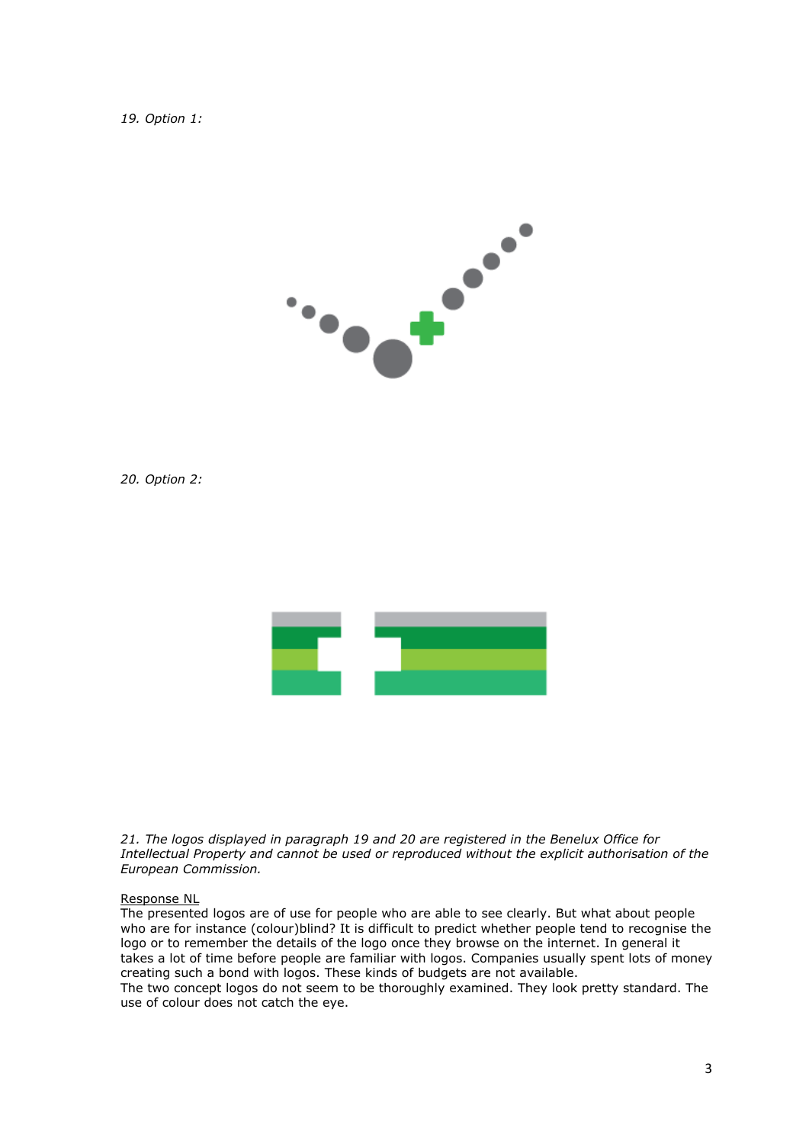### *19. Option 1:*



*20. Option 2:* 



*21. The logos displayed in paragraph 19 and 20 are registered in the Benelux Office for Intellectual Property and cannot be used or reproduced without the explicit authorisation of the European Commission.* 

### Response NL

The presented logos are of use for people who are able to see clearly. But what about people who are for instance (colour)blind? It is difficult to predict whether people tend to recognise the logo or to remember the details of the logo once they browse on the internet. In general it takes a lot of time before people are familiar with logos. Companies usually spent lots of money creating such a bond with logos. These kinds of budgets are not available.

The two concept logos do not seem to be thoroughly examined. They look pretty standard. The use of colour does not catch the eye.